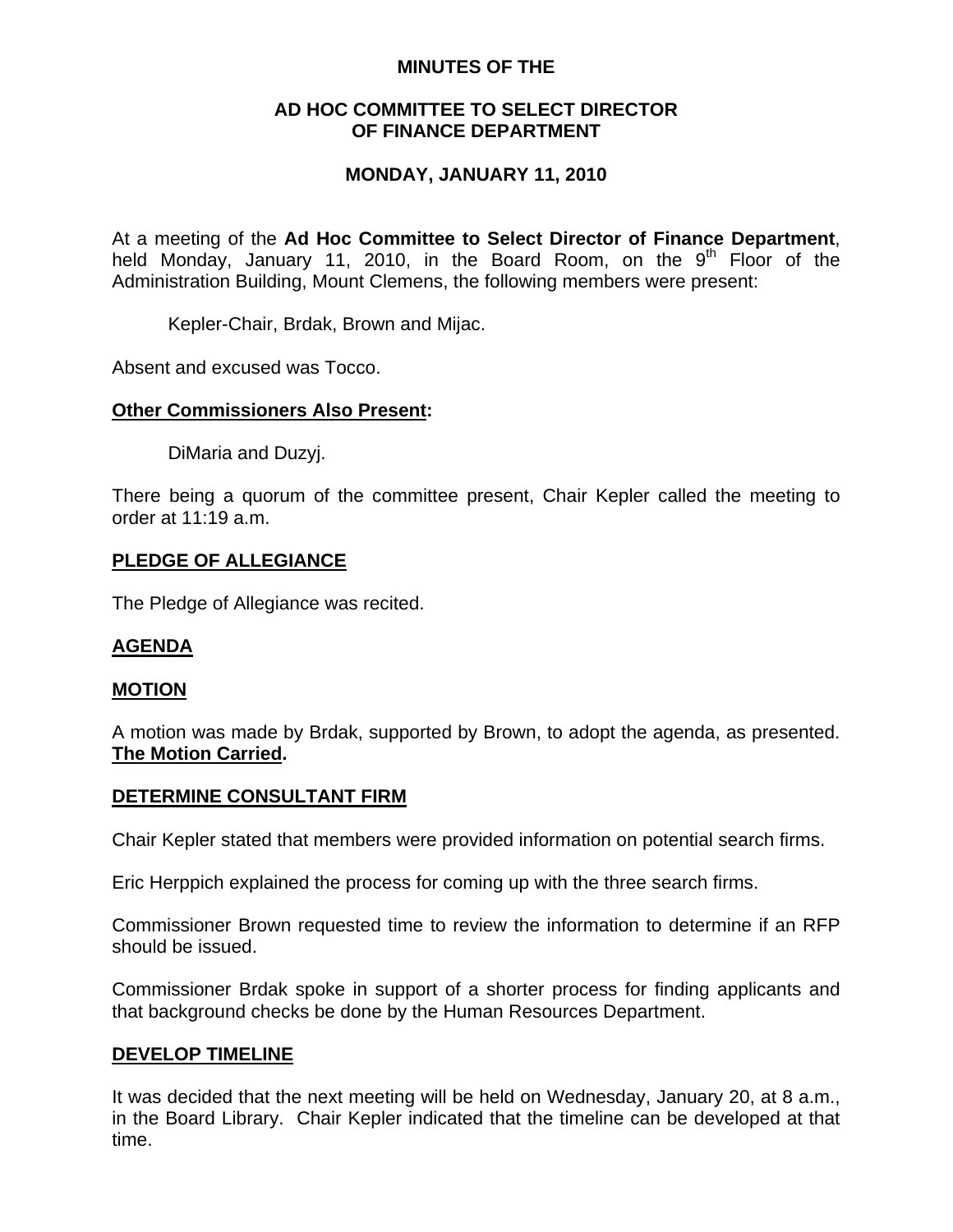## **MINUTES OF THE**

## **AD HOC COMMITTEE TO SELECT DIRECTOR OF FINANCE DEPARTMENT**

## **MONDAY, JANUARY 11, 2010**

At a meeting of the **Ad Hoc Committee to Select Director of Finance Department**, held Monday, January 11, 2010, in the Board Room, on the  $9<sup>th</sup>$  Floor of the Administration Building, Mount Clemens, the following members were present:

Kepler-Chair, Brdak, Brown and Mijac.

Absent and excused was Tocco.

## **Other Commissioners Also Present:**

DiMaria and Duzyj.

There being a quorum of the committee present, Chair Kepler called the meeting to order at 11:19 a.m.

## **PLEDGE OF ALLEGIANCE**

The Pledge of Allegiance was recited.

### **AGENDA**

### **MOTION**

A motion was made by Brdak, supported by Brown, to adopt the agenda, as presented. **The Motion Carried.** 

### **DETERMINE CONSULTANT FIRM**

Chair Kepler stated that members were provided information on potential search firms.

Eric Herppich explained the process for coming up with the three search firms.

Commissioner Brown requested time to review the information to determine if an RFP should be issued.

Commissioner Brdak spoke in support of a shorter process for finding applicants and that background checks be done by the Human Resources Department.

#### **DEVELOP TIMELINE**

It was decided that the next meeting will be held on Wednesday, January 20, at 8 a.m., in the Board Library. Chair Kepler indicated that the timeline can be developed at that time.